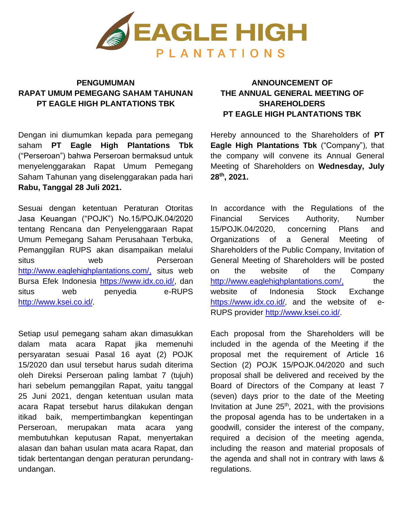

## **PENGUMUMAN RAPAT UMUM PEMEGANG SAHAM TAHUNAN PT EAGLE HIGH PLANTATIONS TBK**

Dengan ini diumumkan kepada para pemegang saham **PT Eagle High Plantations Tbk**  ("Perseroan") bahwa Perseroan bermaksud untuk menyelenggarakan Rapat Umum Pemegang Saham Tahunan yang diselenggarakan pada hari **Rabu, Tanggal 28 Juli 2021.**

Sesuai dengan ketentuan Peraturan Otoritas Jasa Keuangan ("POJK") No.15/POJK.04/2020 tentang Rencana dan Penyelenggaraan Rapat Umum Pemegang Saham Perusahaan Terbuka, Pemanggilan RUPS akan disampaikan melalui situs web Perseroan <http://www.eaglehighplantations.com/,> situs web Bursa Efek Indonesia [https://www.idx.co.id/, d](https://www.idx.co.id/)an situs web penyedia e-RUPS [http://www.ksei.co.id/.](http://www.ksei.co.id/)

Setiap usul pemegang saham akan dimasukkan dalam mata acara Rapat jika memenuhi persyaratan sesuai Pasal 16 ayat (2) POJK 15/2020 dan usul tersebut harus sudah diterima oleh Direksi Perseroan paling lambat 7 (tujuh) hari sebelum pemanggilan Rapat, yaitu tanggal 25 Juni 2021, dengan ketentuan usulan mata acara Rapat tersebut harus dilakukan dengan itikad baik, mempertimbangkan kepentingan Perseroan, merupakan mata acara yang membutuhkan keputusan Rapat, menyertakan alasan dan bahan usulan mata acara Rapat, dan tidak bertentangan dengan peraturan perundangundangan.

## **ANNOUNCEMENT OF THE ANNUAL GENERAL MEETING OF SHAREHOLDERS PT EAGLE HIGH PLANTATIONS TBK**

Hereby announced to the Shareholders of **PT Eagle High Plantations Tbk** ("Company"), that the company will convene its Annual General Meeting of Shareholders on **Wednesday, July 28th, 2021.**

In accordance with the Regulations of the Financial Services Authority, Number 15/POJK.04/2020, concerning Plans and Organizations of a General Meeting of Shareholders of the Public Company, Invitation of General Meeting of Shareholders will be posted on the website of the Company <http://www.eaglehighplantations.com/,> the website of Indonesia Stock Exchange [https://www.idx.co.id/,](https://www.idx.co.id/) and the website of e-RUPS provider [http://www.ksei.co.id/.](http://www.ksei.co.id/)

Each proposal from the Shareholders will be included in the agenda of the Meeting if the proposal met the requirement of Article 16 Section (2) POJK 15/POJK.04/2020 and such proposal shall be delivered and received by the Board of Directors of the Company at least 7 (seven) days prior to the date of the Meeting Invitation at June  $25<sup>th</sup>$ , 2021, with the provisions the proposal agenda has to be undertaken in a goodwill, consider the interest of the company, required a decision of the meeting agenda, including the reason and material proposals of the agenda and shall not in contrary with laws & regulations.